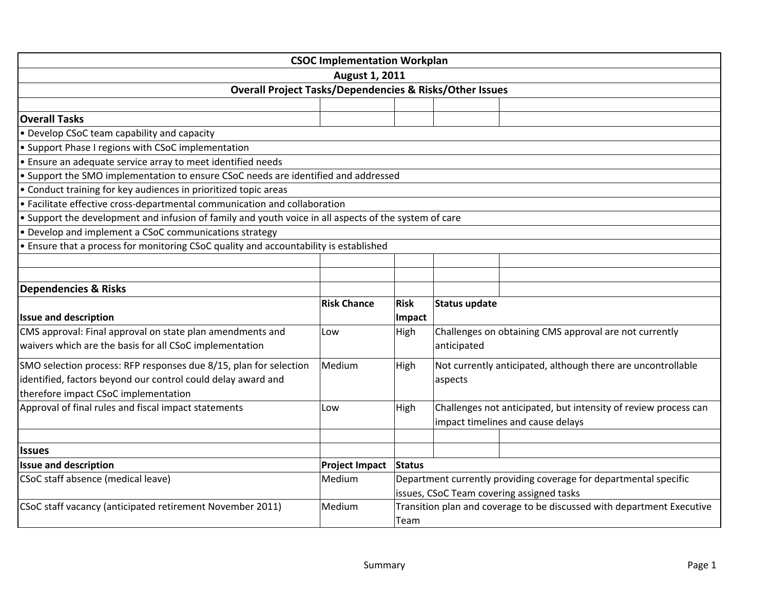|                                                                                                       | <b>CSOC Implementation Workplan</b> |             |                      |                                                                        |
|-------------------------------------------------------------------------------------------------------|-------------------------------------|-------------|----------------------|------------------------------------------------------------------------|
|                                                                                                       | <b>August 1, 2011</b>               |             |                      |                                                                        |
| <b>Overall Project Tasks/Dependencies &amp; Risks/Other Issues</b>                                    |                                     |             |                      |                                                                        |
|                                                                                                       |                                     |             |                      |                                                                        |
| <b>Overall Tasks</b>                                                                                  |                                     |             |                      |                                                                        |
| • Develop CSoC team capability and capacity                                                           |                                     |             |                      |                                                                        |
| • Support Phase I regions with CSoC implementation                                                    |                                     |             |                      |                                                                        |
| • Ensure an adequate service array to meet identified needs                                           |                                     |             |                      |                                                                        |
| • Support the SMO implementation to ensure CSoC needs are identified and addressed                    |                                     |             |                      |                                                                        |
| • Conduct training for key audiences in prioritized topic areas                                       |                                     |             |                      |                                                                        |
| • Facilitate effective cross-departmental communication and collaboration                             |                                     |             |                      |                                                                        |
| • Support the development and infusion of family and youth voice in all aspects of the system of care |                                     |             |                      |                                                                        |
| • Develop and implement a CSoC communications strategy                                                |                                     |             |                      |                                                                        |
| • Ensure that a process for monitoring CSoC quality and accountability is established                 |                                     |             |                      |                                                                        |
|                                                                                                       |                                     |             |                      |                                                                        |
|                                                                                                       |                                     |             |                      |                                                                        |
| <b>Dependencies &amp; Risks</b>                                                                       |                                     |             |                      |                                                                        |
|                                                                                                       | <b>Risk Chance</b>                  | <b>Risk</b> | <b>Status update</b> |                                                                        |
| <b>Issue and description</b>                                                                          |                                     | Impact      |                      |                                                                        |
| CMS approval: Final approval on state plan amendments and                                             | Low                                 | High        |                      | Challenges on obtaining CMS approval are not currently                 |
| waivers which are the basis for all CSoC implementation                                               |                                     |             | anticipated          |                                                                        |
| SMO selection process: RFP responses due 8/15, plan for selection                                     | Medium                              | High        |                      | Not currently anticipated, although there are uncontrollable           |
| identified, factors beyond our control could delay award and                                          |                                     |             | aspects              |                                                                        |
| therefore impact CSoC implementation                                                                  |                                     |             |                      |                                                                        |
| Approval of final rules and fiscal impact statements                                                  | Low                                 | High        |                      | Challenges not anticipated, but intensity of review process can        |
|                                                                                                       |                                     |             |                      | impact timelines and cause delays                                      |
|                                                                                                       |                                     |             |                      |                                                                        |
| <b>Issues</b>                                                                                         |                                     |             |                      |                                                                        |
| <b>Issue and description</b>                                                                          | Project Impact Status               |             |                      |                                                                        |
| CSoC staff absence (medical leave)                                                                    | Medium                              |             |                      | Department currently providing coverage for departmental specific      |
|                                                                                                       |                                     |             |                      | issues, CSoC Team covering assigned tasks                              |
| CSoC staff vacancy (anticipated retirement November 2011)                                             | Medium                              |             |                      | Transition plan and coverage to be discussed with department Executive |
|                                                                                                       |                                     | Team        |                      |                                                                        |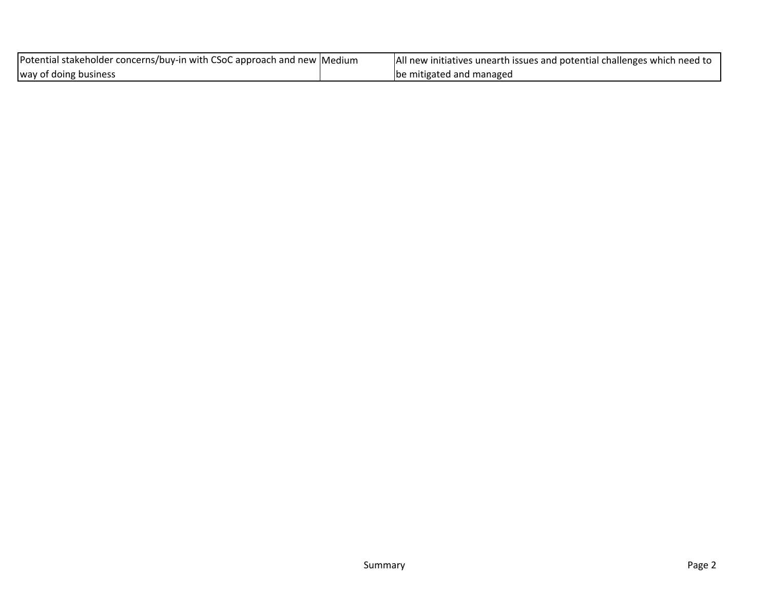| Potential stakeholder concerns/buy-in with CSoC approach and new Medium | All new initiatives unearth issues and potential challenges which need to |
|-------------------------------------------------------------------------|---------------------------------------------------------------------------|
| way of doing business                                                   | be mitigated and managed                                                  |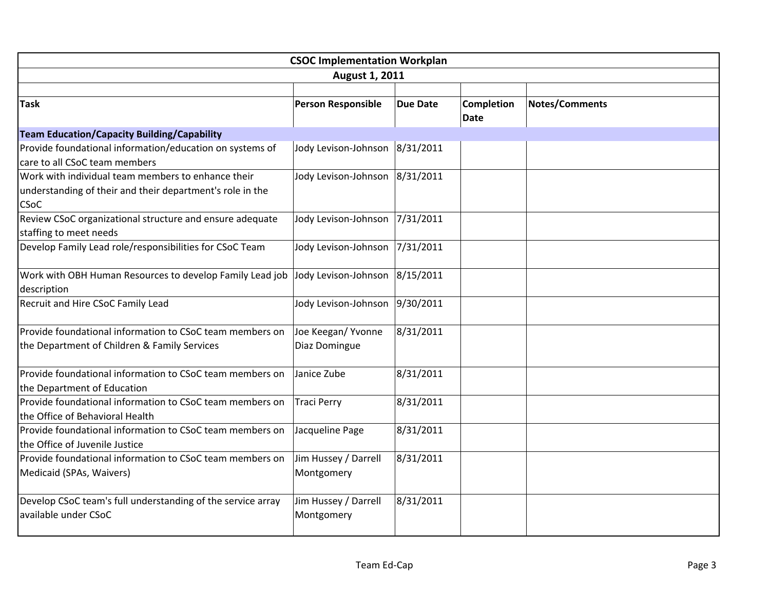|                                                                                                                                | <b>CSOC Implementation Workplan</b> |                 |                                  |                       |  |
|--------------------------------------------------------------------------------------------------------------------------------|-------------------------------------|-----------------|----------------------------------|-----------------------|--|
|                                                                                                                                | <b>August 1, 2011</b>               |                 |                                  |                       |  |
|                                                                                                                                |                                     |                 |                                  |                       |  |
| <b>Task</b>                                                                                                                    | <b>Person Responsible</b>           | <b>Due Date</b> | <b>Completion</b><br><b>Date</b> | <b>Notes/Comments</b> |  |
| <b>Team Education/Capacity Building/Capability</b>                                                                             |                                     |                 |                                  |                       |  |
| Provide foundational information/education on systems of<br>care to all CSoC team members                                      | Jody Levison-Johnson                | 8/31/2011       |                                  |                       |  |
| Work with individual team members to enhance their<br>understanding of their and their department's role in the<br><b>CSoC</b> | Jody Levison-Johnson 8/31/2011      |                 |                                  |                       |  |
| Review CSoC organizational structure and ensure adequate<br>staffing to meet needs                                             | Jody Levison-Johnson                | 7/31/2011       |                                  |                       |  |
| Develop Family Lead role/responsibilities for CSoC Team                                                                        | Jody Levison-Johnson                | 7/31/2011       |                                  |                       |  |
| Work with OBH Human Resources to develop Family Lead job<br>description                                                        | Jody Levison-Johnson                | 8/15/2011       |                                  |                       |  |
| Recruit and Hire CSoC Family Lead                                                                                              | Jody Levison-Johnson                | 9/30/2011       |                                  |                       |  |
| Provide foundational information to CSoC team members on                                                                       | Joe Keegan/ Yvonne                  | 8/31/2011       |                                  |                       |  |
| the Department of Children & Family Services                                                                                   | Diaz Domingue                       |                 |                                  |                       |  |
| Provide foundational information to CSoC team members on<br>the Department of Education                                        | Janice Zube                         | 8/31/2011       |                                  |                       |  |
| Provide foundational information to CSoC team members on<br>the Office of Behavioral Health                                    | <b>Traci Perry</b>                  | 8/31/2011       |                                  |                       |  |
| Provide foundational information to CSoC team members on<br>the Office of Juvenile Justice                                     | Jacqueline Page                     | 8/31/2011       |                                  |                       |  |
| Provide foundational information to CSoC team members on<br>Medicaid (SPAs, Waivers)                                           | Jim Hussey / Darrell<br>Montgomery  | 8/31/2011       |                                  |                       |  |
| Develop CSoC team's full understanding of the service array<br>available under CSoC                                            | Jim Hussey / Darrell<br>Montgomery  | 8/31/2011       |                                  |                       |  |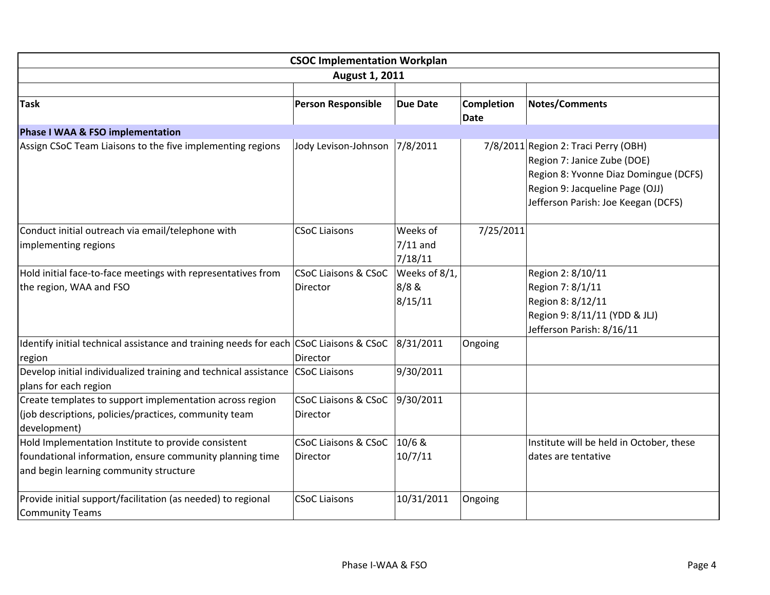|                                                                                                  | <b>CSOC Implementation Workplan</b> |                 |                                  |                                                                                                                                                                                        |  |
|--------------------------------------------------------------------------------------------------|-------------------------------------|-----------------|----------------------------------|----------------------------------------------------------------------------------------------------------------------------------------------------------------------------------------|--|
| <b>August 1, 2011</b>                                                                            |                                     |                 |                                  |                                                                                                                                                                                        |  |
|                                                                                                  |                                     |                 |                                  |                                                                                                                                                                                        |  |
| <b>Task</b>                                                                                      | <b>Person Responsible</b>           | <b>Due Date</b> | <b>Completion</b><br><b>Date</b> | <b>Notes/Comments</b>                                                                                                                                                                  |  |
| Phase I WAA & FSO implementation                                                                 |                                     |                 |                                  |                                                                                                                                                                                        |  |
| Assign CSoC Team Liaisons to the five implementing regions                                       | Jody Levison-Johnson                | 7/8/2011        |                                  | 7/8/2011 Region 2: Traci Perry (OBH)<br>Region 7: Janice Zube (DOE)<br>Region 8: Yvonne Diaz Domingue (DCFS)<br>Region 9: Jacqueline Page (OJJ)<br>Jefferson Parish: Joe Keegan (DCFS) |  |
| Conduct initial outreach via email/telephone with                                                | <b>CSoC Liaisons</b>                | Weeks of        | 7/25/2011                        |                                                                                                                                                                                        |  |
| implementing regions                                                                             |                                     | $7/11$ and      |                                  |                                                                                                                                                                                        |  |
|                                                                                                  |                                     | 7/18/11         |                                  |                                                                                                                                                                                        |  |
| Hold initial face-to-face meetings with representatives from                                     | <b>CSoC Liaisons &amp; CSoC</b>     | Weeks of 8/1,   |                                  | Region 2: 8/10/11                                                                                                                                                                      |  |
| the region, WAA and FSO                                                                          | Director                            | 8/8 &           |                                  | Region 7: 8/1/11                                                                                                                                                                       |  |
|                                                                                                  |                                     | 8/15/11         |                                  | Region 8: 8/12/11                                                                                                                                                                      |  |
|                                                                                                  |                                     |                 |                                  | Region 9: 8/11/11 (YDD & JLJ)                                                                                                                                                          |  |
|                                                                                                  |                                     |                 |                                  | Jefferson Parish: 8/16/11                                                                                                                                                              |  |
| Identify initial technical assistance and training needs for each CSoC Liaisons & CSoC<br>region | Director                            | 8/31/2011       | Ongoing                          |                                                                                                                                                                                        |  |
| Develop initial individualized training and technical assistance<br>plans for each region        | <b>CSoC Liaisons</b>                | 9/30/2011       |                                  |                                                                                                                                                                                        |  |
| Create templates to support implementation across region                                         | <b>CSoC Liaisons &amp; CSoC</b>     | 9/30/2011       |                                  |                                                                                                                                                                                        |  |
| (job descriptions, policies/practices, community team<br>development)                            | Director                            |                 |                                  |                                                                                                                                                                                        |  |
| Hold Implementation Institute to provide consistent                                              | <b>CSoC Liaisons &amp; CSoC</b>     | 10/6 &          |                                  | Institute will be held in October, these                                                                                                                                               |  |
| foundational information, ensure community planning time                                         | Director                            | 10/7/11         |                                  | dates are tentative                                                                                                                                                                    |  |
| and begin learning community structure                                                           |                                     |                 |                                  |                                                                                                                                                                                        |  |
| Provide initial support/facilitation (as needed) to regional<br><b>Community Teams</b>           | <b>CSoC Liaisons</b>                | 10/31/2011      | Ongoing                          |                                                                                                                                                                                        |  |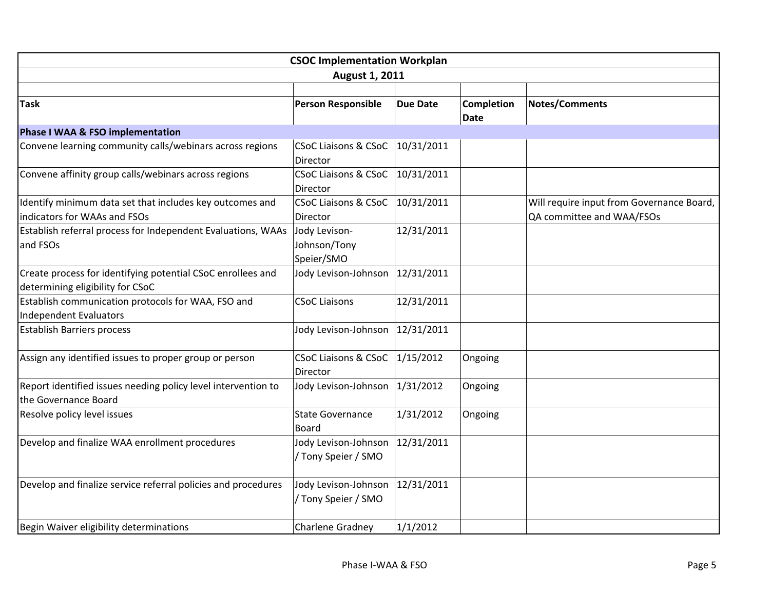|                                                                                                 | <b>CSOC Implementation Workplan</b>         |                 |                                  |                                                                        |  |
|-------------------------------------------------------------------------------------------------|---------------------------------------------|-----------------|----------------------------------|------------------------------------------------------------------------|--|
|                                                                                                 | <b>August 1, 2011</b>                       |                 |                                  |                                                                        |  |
|                                                                                                 |                                             |                 |                                  |                                                                        |  |
| <b>Task</b>                                                                                     | <b>Person Responsible</b>                   | <b>Due Date</b> | <b>Completion</b><br><b>Date</b> | <b>Notes/Comments</b>                                                  |  |
| Phase I WAA & FSO implementation                                                                |                                             |                 |                                  |                                                                        |  |
| Convene learning community calls/webinars across regions                                        | <b>CSoC Liaisons &amp; CSoC</b><br>Director | 10/31/2011      |                                  |                                                                        |  |
| Convene affinity group calls/webinars across regions                                            | <b>CSoC Liaisons &amp; CSoC</b><br>Director | 10/31/2011      |                                  |                                                                        |  |
| Identify minimum data set that includes key outcomes and<br>indicators for WAAs and FSOs        | <b>CSoC Liaisons &amp; CSoC</b><br>Director | 10/31/2011      |                                  | Will require input from Governance Board,<br>QA committee and WAA/FSOs |  |
| Establish referral process for Independent Evaluations, WAAs<br>and FSOs                        | Jody Levison-<br>Johnson/Tony<br>Speier/SMO | 12/31/2011      |                                  |                                                                        |  |
| Create process for identifying potential CSoC enrollees and<br>determining eligibility for CSoC | Jody Levison-Johnson                        | 12/31/2011      |                                  |                                                                        |  |
| Establish communication protocols for WAA, FSO and<br>Independent Evaluators                    | <b>CSoC Liaisons</b>                        | 12/31/2011      |                                  |                                                                        |  |
| <b>Establish Barriers process</b>                                                               | Jody Levison-Johnson                        | 12/31/2011      |                                  |                                                                        |  |
| Assign any identified issues to proper group or person                                          | <b>CSoC Liaisons &amp; CSoC</b><br>Director | 1/15/2012       | Ongoing                          |                                                                        |  |
| Report identified issues needing policy level intervention to<br>the Governance Board           | Jody Levison-Johnson                        | 1/31/2012       | Ongoing                          |                                                                        |  |
| Resolve policy level issues                                                                     | <b>State Governance</b><br><b>Board</b>     | 1/31/2012       | Ongoing                          |                                                                        |  |
| Develop and finalize WAA enrollment procedures                                                  | Jody Levison-Johnson<br>/ Tony Speier / SMO | 12/31/2011      |                                  |                                                                        |  |
| Develop and finalize service referral policies and procedures                                   | Jody Levison-Johnson<br>/ Tony Speier / SMO | 12/31/2011      |                                  |                                                                        |  |
| Begin Waiver eligibility determinations                                                         | Charlene Gradney                            | 1/1/2012        |                                  |                                                                        |  |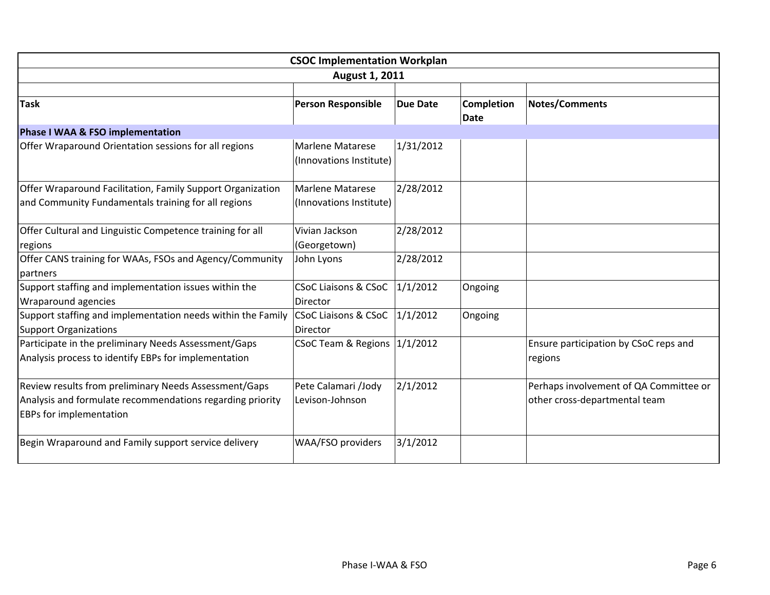|                                                                                                                                                      | <b>CSOC Implementation Workplan</b>                |                 |                                  |                                                                         |  |
|------------------------------------------------------------------------------------------------------------------------------------------------------|----------------------------------------------------|-----------------|----------------------------------|-------------------------------------------------------------------------|--|
|                                                                                                                                                      | <b>August 1, 2011</b>                              |                 |                                  |                                                                         |  |
| <b>Task</b>                                                                                                                                          | <b>Person Responsible</b>                          | <b>Due Date</b> | <b>Completion</b><br><b>Date</b> | <b>Notes/Comments</b>                                                   |  |
| Phase I WAA & FSO implementation                                                                                                                     |                                                    |                 |                                  |                                                                         |  |
| Offer Wraparound Orientation sessions for all regions                                                                                                | <b>Marlene Matarese</b><br>(Innovations Institute) | 1/31/2012       |                                  |                                                                         |  |
| Offer Wraparound Facilitation, Family Support Organization<br>and Community Fundamentals training for all regions                                    | <b>Marlene Matarese</b><br>(Innovations Institute) | 2/28/2012       |                                  |                                                                         |  |
| Offer Cultural and Linguistic Competence training for all<br>regions                                                                                 | Vivian Jackson<br>(Georgetown)                     | 2/28/2012       |                                  |                                                                         |  |
| Offer CANS training for WAAs, FSOs and Agency/Community<br>partners                                                                                  | John Lyons                                         | 2/28/2012       |                                  |                                                                         |  |
| Support staffing and implementation issues within the<br>Wraparound agencies                                                                         | CSoC Liaisons & CSoC   1/1/2012<br><b>Director</b> |                 | Ongoing                          |                                                                         |  |
| Support staffing and implementation needs within the Family<br><b>Support Organizations</b>                                                          | <b>CSoC Liaisons &amp; CSoC</b><br>Director        | 1/1/2012        | Ongoing                          |                                                                         |  |
| Participate in the preliminary Needs Assessment/Gaps<br>Analysis process to identify EBPs for implementation                                         | CSoC Team & Regions  1/1/2012                      |                 |                                  | Ensure participation by CSoC reps and<br>regions                        |  |
| Review results from preliminary Needs Assessment/Gaps<br>Analysis and formulate recommendations regarding priority<br><b>EBPs for implementation</b> | Pete Calamari /Jody<br>Levison-Johnson             | 2/1/2012        |                                  | Perhaps involvement of QA Committee or<br>other cross-departmental team |  |
| Begin Wraparound and Family support service delivery                                                                                                 | WAA/FSO providers                                  | 3/1/2012        |                                  |                                                                         |  |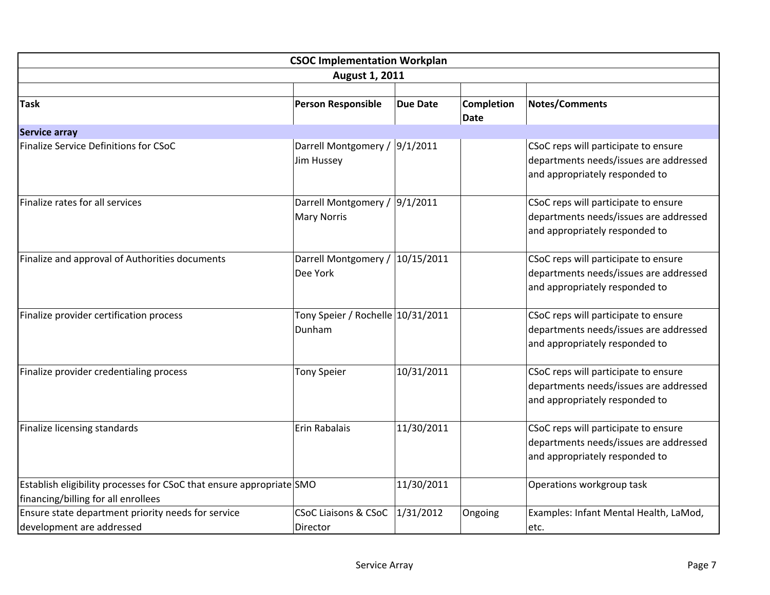|                                                                                                             | <b>CSOC Implementation Workplan</b>                 |                 |                                  |                                                                                                                  |  |  |  |
|-------------------------------------------------------------------------------------------------------------|-----------------------------------------------------|-----------------|----------------------------------|------------------------------------------------------------------------------------------------------------------|--|--|--|
|                                                                                                             | <b>August 1, 2011</b>                               |                 |                                  |                                                                                                                  |  |  |  |
|                                                                                                             |                                                     |                 |                                  |                                                                                                                  |  |  |  |
| <b>Task</b>                                                                                                 | <b>Person Responsible</b>                           | <b>Due Date</b> | <b>Completion</b><br><b>Date</b> | Notes/Comments                                                                                                   |  |  |  |
| <b>Service array</b>                                                                                        |                                                     |                 |                                  |                                                                                                                  |  |  |  |
| Finalize Service Definitions for CSoC                                                                       | Darrell Montgomery / 9/1/2011<br>Jim Hussey         |                 |                                  | CSoC reps will participate to ensure<br>departments needs/issues are addressed<br>and appropriately responded to |  |  |  |
| Finalize rates for all services                                                                             | Darrell Montgomery / 9/1/2011<br><b>Mary Norris</b> |                 |                                  | CSoC reps will participate to ensure<br>departments needs/issues are addressed<br>and appropriately responded to |  |  |  |
| Finalize and approval of Authorities documents                                                              | Darrell Montgomery /<br>Dee York                    | 10/15/2011      |                                  | CSoC reps will participate to ensure<br>departments needs/issues are addressed<br>and appropriately responded to |  |  |  |
| Finalize provider certification process                                                                     | Tony Speier / Rochelle 10/31/2011<br>Dunham         |                 |                                  | CSoC reps will participate to ensure<br>departments needs/issues are addressed<br>and appropriately responded to |  |  |  |
| Finalize provider credentialing process                                                                     | <b>Tony Speier</b>                                  | 10/31/2011      |                                  | CSoC reps will participate to ensure<br>departments needs/issues are addressed<br>and appropriately responded to |  |  |  |
| Finalize licensing standards                                                                                | Erin Rabalais                                       | 11/30/2011      |                                  | CSoC reps will participate to ensure<br>departments needs/issues are addressed<br>and appropriately responded to |  |  |  |
| Establish eligibility processes for CSoC that ensure appropriate SMO<br>financing/billing for all enrollees |                                                     | 11/30/2011      |                                  | Operations workgroup task                                                                                        |  |  |  |
| Ensure state department priority needs for service<br>development are addressed                             | <b>CSoC Liaisons &amp; CSoC</b><br>Director         | 1/31/2012       | Ongoing                          | Examples: Infant Mental Health, LaMod,<br>etc.                                                                   |  |  |  |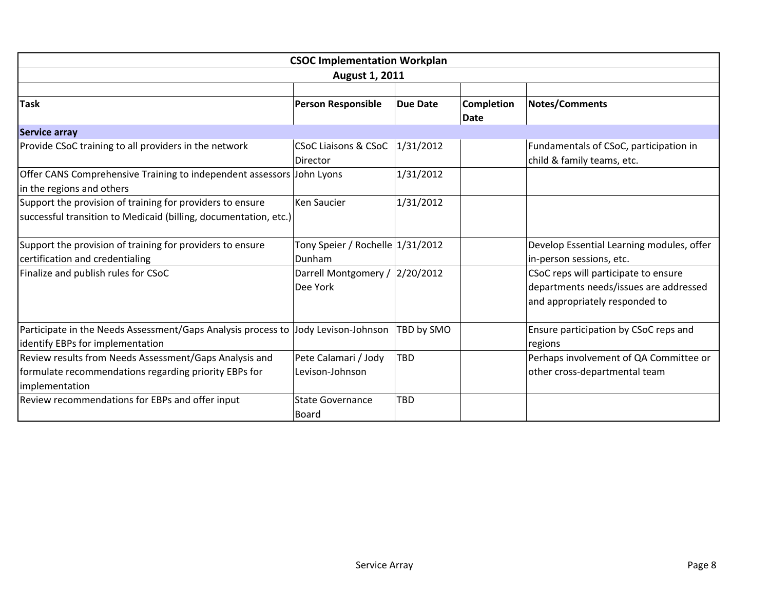|                                                                                                                                   | <b>CSOC Implementation Workplan</b>         |                 |                           |                                                                                                                  |  |  |
|-----------------------------------------------------------------------------------------------------------------------------------|---------------------------------------------|-----------------|---------------------------|------------------------------------------------------------------------------------------------------------------|--|--|
|                                                                                                                                   | <b>August 1, 2011</b>                       |                 |                           |                                                                                                                  |  |  |
|                                                                                                                                   |                                             |                 |                           |                                                                                                                  |  |  |
| <b>Task</b>                                                                                                                       | <b>Person Responsible</b>                   | <b>Due Date</b> | Completion<br><b>Date</b> | <b>Notes/Comments</b>                                                                                            |  |  |
| <b>Service array</b>                                                                                                              |                                             |                 |                           |                                                                                                                  |  |  |
| Provide CSoC training to all providers in the network                                                                             | <b>CSoC Liaisons &amp; CSoC</b><br>Director | 1/31/2012       |                           | Fundamentals of CSoC, participation in<br>child & family teams, etc.                                             |  |  |
| Offer CANS Comprehensive Training to independent assessors John Lyons<br>in the regions and others                                |                                             | 1/31/2012       |                           |                                                                                                                  |  |  |
| Support the provision of training for providers to ensure<br>successful transition to Medicaid (billing, documentation, etc.)     | Ken Saucier                                 | 1/31/2012       |                           |                                                                                                                  |  |  |
| Support the provision of training for providers to ensure<br>certification and credentialing                                      | Tony Speier / Rochelle 1/31/2012<br>Dunham  |                 |                           | Develop Essential Learning modules, offer<br>in-person sessions, etc.                                            |  |  |
| Finalize and publish rules for CSoC                                                                                               | Darrell Montgomery / 2/20/2012<br>Dee York  |                 |                           | CSoC reps will participate to ensure<br>departments needs/issues are addressed<br>and appropriately responded to |  |  |
| Participate in the Needs Assessment/Gaps Analysis process to<br>identify EBPs for implementation                                  | Jody Levison-Johnson                        | TBD by SMO      |                           | Ensure participation by CSoC reps and<br>regions                                                                 |  |  |
| Review results from Needs Assessment/Gaps Analysis and<br>formulate recommendations regarding priority EBPs for<br>implementation | Pete Calamari / Jody<br>Levison-Johnson     | TBD             |                           | Perhaps involvement of QA Committee or<br>other cross-departmental team                                          |  |  |
| Review recommendations for EBPs and offer input                                                                                   | <b>State Governance</b><br>Board            | TBD             |                           |                                                                                                                  |  |  |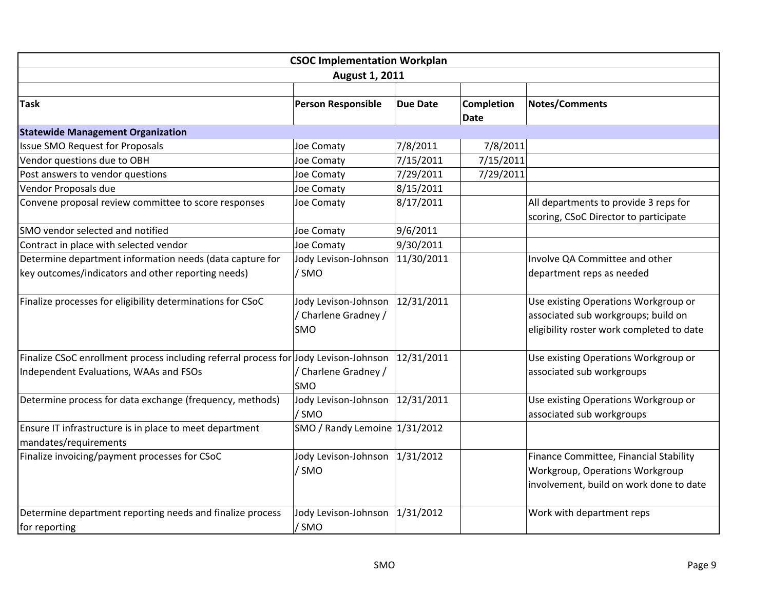|                                                                                      | <b>CSOC Implementation Workplan</b>                 |                 |                           |                                                                                                                          |  |
|--------------------------------------------------------------------------------------|-----------------------------------------------------|-----------------|---------------------------|--------------------------------------------------------------------------------------------------------------------------|--|
|                                                                                      | August 1, 2011                                      |                 |                           |                                                                                                                          |  |
|                                                                                      |                                                     |                 |                           |                                                                                                                          |  |
| <b>Task</b>                                                                          | <b>Person Responsible</b>                           | <b>Due Date</b> | <b>Completion</b><br>Date | <b>Notes/Comments</b>                                                                                                    |  |
| <b>Statewide Management Organization</b>                                             |                                                     |                 |                           |                                                                                                                          |  |
| <b>Issue SMO Request for Proposals</b>                                               | Joe Comaty                                          | 7/8/2011        | 7/8/2011                  |                                                                                                                          |  |
| Vendor questions due to OBH                                                          | Joe Comaty                                          | 7/15/2011       | 7/15/2011                 |                                                                                                                          |  |
| Post answers to vendor questions                                                     | Joe Comaty                                          | 7/29/2011       | 7/29/2011                 |                                                                                                                          |  |
| Vendor Proposals due                                                                 | Joe Comaty                                          | 8/15/2011       |                           |                                                                                                                          |  |
| Convene proposal review committee to score responses                                 | Joe Comaty                                          | 8/17/2011       |                           | All departments to provide 3 reps for<br>scoring, CSoC Director to participate                                           |  |
| <b>SMO</b> vendor selected and notified                                              | Joe Comaty                                          | 9/6/2011        |                           |                                                                                                                          |  |
| Contract in place with selected vendor                                               | Joe Comaty                                          | 9/30/2011       |                           |                                                                                                                          |  |
| Determine department information needs (data capture for                             | Jody Levison-Johnson                                | 11/30/2011      |                           | Involve QA Committee and other                                                                                           |  |
| key outcomes/indicators and other reporting needs)                                   | / SMO                                               |                 |                           | department reps as needed                                                                                                |  |
| Finalize processes for eligibility determinations for CSoC                           | Jody Levison-Johnson<br>/ Charlene Gradney /<br>SMO | 12/31/2011      |                           | Use existing Operations Workgroup or<br>associated sub workgroups; build on<br>eligibility roster work completed to date |  |
| Finalize CSoC enrollment process including referral process for Jody Levison-Johnson |                                                     | 12/31/2011      |                           | Use existing Operations Workgroup or                                                                                     |  |
| Independent Evaluations, WAAs and FSOs                                               | / Charlene Gradney /<br>SMO                         |                 |                           | associated sub workgroups                                                                                                |  |
| Determine process for data exchange (frequency, methods)                             | Jody Levison-Johnson<br>/SMO                        | 12/31/2011      |                           | Use existing Operations Workgroup or<br>associated sub workgroups                                                        |  |
| Ensure IT infrastructure is in place to meet department<br>mandates/requirements     | SMO / Randy Lemoine 1/31/2012                       |                 |                           |                                                                                                                          |  |
| Finalize invoicing/payment processes for CSoC                                        | Jody Levison-Johnson<br>/ SMO                       | 1/31/2012       |                           | Finance Committee, Financial Stability<br>Workgroup, Operations Workgroup<br>involvement, build on work done to date     |  |
| Determine department reporting needs and finalize process<br>for reporting           | Jody Levison-Johnson<br>/ SMO                       | 1/31/2012       |                           | Work with department reps                                                                                                |  |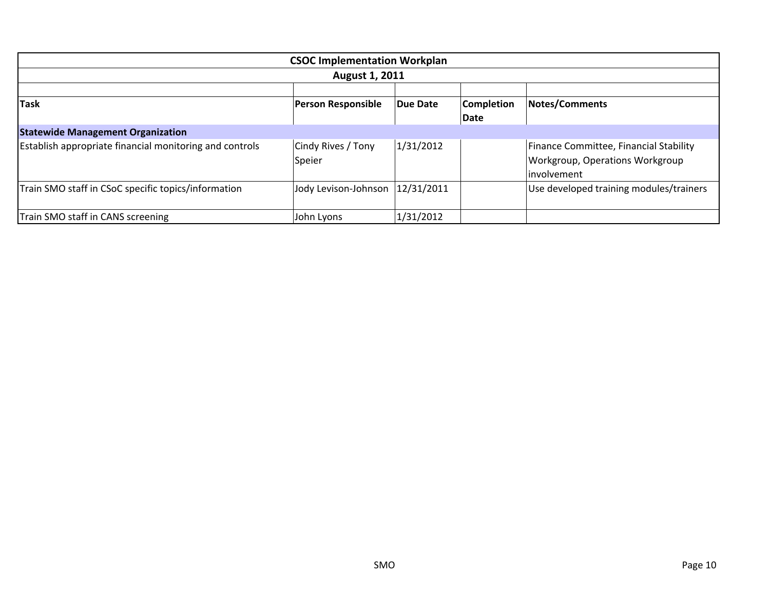| <b>CSOC Implementation Workplan</b>                     |                              |                 |                   |                                                                                          |  |  |  |
|---------------------------------------------------------|------------------------------|-----------------|-------------------|------------------------------------------------------------------------------------------|--|--|--|
|                                                         | <b>August 1, 2011</b>        |                 |                   |                                                                                          |  |  |  |
|                                                         |                              |                 |                   |                                                                                          |  |  |  |
| <b>Task</b>                                             | <b>Person Responsible</b>    | <b>Due Date</b> | <b>Completion</b> | <b>Notes/Comments</b>                                                                    |  |  |  |
|                                                         |                              |                 | Date              |                                                                                          |  |  |  |
| <b>Statewide Management Organization</b>                |                              |                 |                   |                                                                                          |  |  |  |
| Establish appropriate financial monitoring and controls | Cindy Rives / Tony<br>Speier | 1/31/2012       |                   | Finance Committee, Financial Stability<br>Workgroup, Operations Workgroup<br>involvement |  |  |  |
| Train SMO staff in CSoC specific topics/information     | Jody Levison-Johnson         | 12/31/2011      |                   | Use developed training modules/trainers                                                  |  |  |  |
| Train SMO staff in CANS screening                       | John Lyons                   | 1/31/2012       |                   |                                                                                          |  |  |  |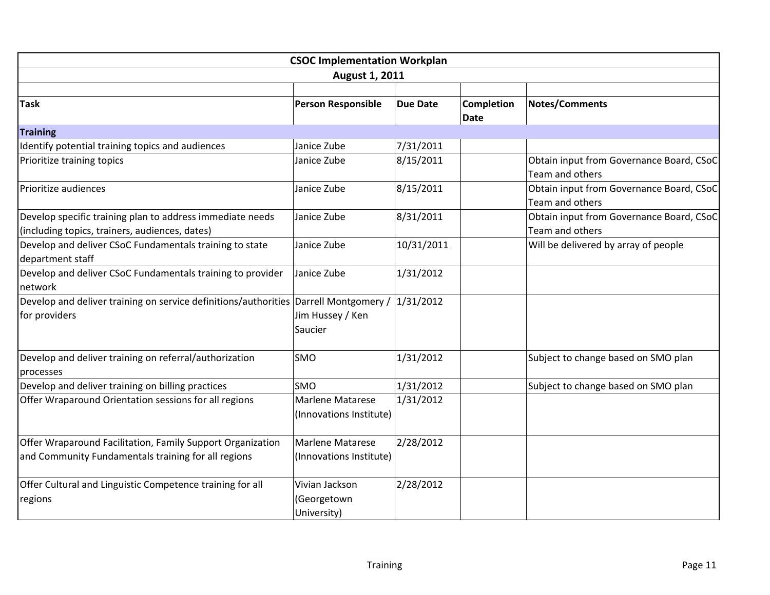|                                                                                                                   | <b>CSOC Implementation Workplan</b>                |                 |                                  |                                                             |
|-------------------------------------------------------------------------------------------------------------------|----------------------------------------------------|-----------------|----------------------------------|-------------------------------------------------------------|
|                                                                                                                   | <b>August 1, 2011</b>                              |                 |                                  |                                                             |
| <b>Task</b>                                                                                                       | <b>Person Responsible</b>                          | <b>Due Date</b> | <b>Completion</b><br><b>Date</b> | <b>Notes/Comments</b>                                       |
| <b>Training</b>                                                                                                   |                                                    |                 |                                  |                                                             |
| Identify potential training topics and audiences                                                                  | Janice Zube                                        | 7/31/2011       |                                  |                                                             |
| Prioritize training topics                                                                                        | Janice Zube                                        | 8/15/2011       |                                  | Obtain input from Governance Board, CSoC<br>Team and others |
| Prioritize audiences                                                                                              | Janice Zube                                        | 8/15/2011       |                                  | Obtain input from Governance Board, CSoC<br>Team and others |
| Develop specific training plan to address immediate needs<br>(including topics, trainers, audiences, dates)       | Janice Zube                                        | 8/31/2011       |                                  | Obtain input from Governance Board, CSoC<br>Team and others |
| Develop and deliver CSoC Fundamentals training to state<br>department staff                                       | Janice Zube                                        | 10/31/2011      |                                  | Will be delivered by array of people                        |
| Develop and deliver CSoC Fundamentals training to provider<br>network                                             | Janice Zube                                        | 1/31/2012       |                                  |                                                             |
| Develop and deliver training on service definitions/authorities Darrell Montgomery / 1/31/2012<br>for providers   | Jim Hussey / Ken<br>Saucier                        |                 |                                  |                                                             |
| Develop and deliver training on referral/authorization<br>processes                                               | <b>SMO</b>                                         | 1/31/2012       |                                  | Subject to change based on SMO plan                         |
| Develop and deliver training on billing practices                                                                 | <b>SMO</b>                                         | 1/31/2012       |                                  | Subject to change based on SMO plan                         |
| Offer Wraparound Orientation sessions for all regions                                                             | <b>Marlene Matarese</b><br>(Innovations Institute) | 1/31/2012       |                                  |                                                             |
| Offer Wraparound Facilitation, Family Support Organization<br>and Community Fundamentals training for all regions | <b>Marlene Matarese</b><br>(Innovations Institute) | 2/28/2012       |                                  |                                                             |
| Offer Cultural and Linguistic Competence training for all<br>regions                                              | Vivian Jackson<br>(Georgetown<br>University)       | 2/28/2012       |                                  |                                                             |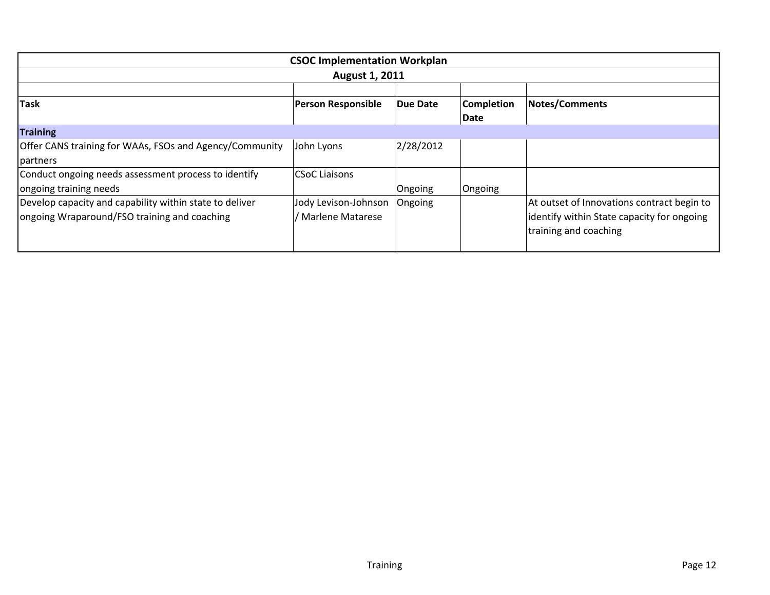| <b>CSOC Implementation Workplan</b>                     |                           |                 |                   |                                            |  |
|---------------------------------------------------------|---------------------------|-----------------|-------------------|--------------------------------------------|--|
| <b>August 1, 2011</b>                                   |                           |                 |                   |                                            |  |
|                                                         |                           |                 |                   |                                            |  |
| <b>Task</b>                                             | <b>Person Responsible</b> | <b>Due Date</b> | <b>Completion</b> | Notes/Comments                             |  |
|                                                         |                           |                 | Date              |                                            |  |
| <b>Training</b>                                         |                           |                 |                   |                                            |  |
| Offer CANS training for WAAs, FSOs and Agency/Community | John Lyons                | 2/28/2012       |                   |                                            |  |
| partners                                                |                           |                 |                   |                                            |  |
| Conduct ongoing needs assessment process to identify    | <b>CSoC Liaisons</b>      |                 |                   |                                            |  |
| ongoing training needs                                  |                           | Ongoing         | Ongoing           |                                            |  |
| Develop capacity and capability within state to deliver | Jody Levison-Johnson      | Ongoing         |                   | At outset of Innovations contract begin to |  |
| ongoing Wraparound/FSO training and coaching            | / Marlene Matarese        |                 |                   | identify within State capacity for ongoing |  |
|                                                         |                           |                 |                   | training and coaching                      |  |
|                                                         |                           |                 |                   |                                            |  |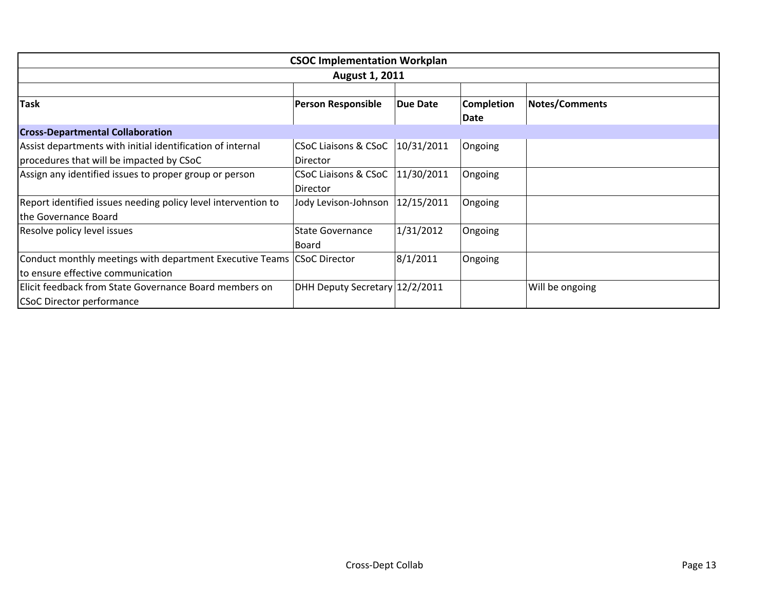| <b>CSOC Implementation Workplan</b>                                    |                                   |                 |                           |                       |  |
|------------------------------------------------------------------------|-----------------------------------|-----------------|---------------------------|-----------------------|--|
| <b>August 1, 2011</b>                                                  |                                   |                 |                           |                       |  |
|                                                                        |                                   |                 |                           |                       |  |
| <b>Task</b>                                                            | <b>Person Responsible</b>         | <b>Due Date</b> | <b>Completion</b><br>Date | <b>Notes/Comments</b> |  |
| <b>Cross-Departmental Collaboration</b>                                |                                   |                 |                           |                       |  |
| Assist departments with initial identification of internal             | CSoC Liaisons & CSoC   10/31/2011 |                 | Ongoing                   |                       |  |
| procedures that will be impacted by CSoC                               | Director                          |                 |                           |                       |  |
| Assign any identified issues to proper group or person                 | <b>CSoC Liaisons &amp; CSoC</b>   | 11/30/2011      | Ongoing                   |                       |  |
|                                                                        | Director                          |                 |                           |                       |  |
| Report identified issues needing policy level intervention to          | Jody Levison-Johnson   12/15/2011 |                 | Ongoing                   |                       |  |
| the Governance Board                                                   |                                   |                 |                           |                       |  |
| Resolve policy level issues                                            | <b>State Governance</b>           | 1/31/2012       | Ongoing                   |                       |  |
|                                                                        | Board                             |                 |                           |                       |  |
| Conduct monthly meetings with department Executive Teams CSoC Director |                                   | 8/1/2011        | Ongoing                   |                       |  |
| to ensure effective communication                                      |                                   |                 |                           |                       |  |
| Elicit feedback from State Governance Board members on                 | DHH Deputy Secretary 12/2/2011    |                 |                           | Will be ongoing       |  |
| <b>CSoC Director performance</b>                                       |                                   |                 |                           |                       |  |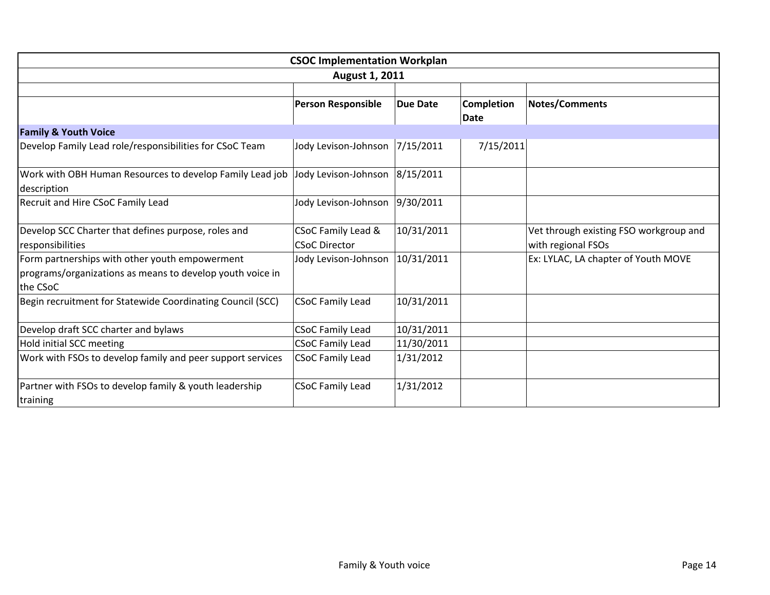| <b>CSOC Implementation Workplan</b>                                                                                     |                                            |                 |                                  |                                                              |
|-------------------------------------------------------------------------------------------------------------------------|--------------------------------------------|-----------------|----------------------------------|--------------------------------------------------------------|
| August 1, 2011                                                                                                          |                                            |                 |                                  |                                                              |
|                                                                                                                         |                                            |                 |                                  |                                                              |
|                                                                                                                         | <b>Person Responsible</b>                  | <b>Due Date</b> | <b>Completion</b><br><b>Date</b> | <b>Notes/Comments</b>                                        |
| <b>Family &amp; Youth Voice</b>                                                                                         |                                            |                 |                                  |                                                              |
| Develop Family Lead role/responsibilities for CSoC Team                                                                 | Jody Levison-Johnson                       | 7/15/2011       | 7/15/2011                        |                                                              |
| Work with OBH Human Resources to develop Family Lead job<br>description                                                 | Jody Levison-Johnson 8/15/2011             |                 |                                  |                                                              |
| Recruit and Hire CSoC Family Lead                                                                                       | Jody Levison-Johnson 9/30/2011             |                 |                                  |                                                              |
| Develop SCC Charter that defines purpose, roles and<br>responsibilities                                                 | CSoC Family Lead &<br><b>CSoC Director</b> | 10/31/2011      |                                  | Vet through existing FSO workgroup and<br>with regional FSOs |
| Form partnerships with other youth empowerment<br>programs/organizations as means to develop youth voice in<br>the CSoC | Jody Levison-Johnson 10/31/2011            |                 |                                  | Ex: LYLAC, LA chapter of Youth MOVE                          |
| Begin recruitment for Statewide Coordinating Council (SCC)                                                              | <b>CSoC Family Lead</b>                    | 10/31/2011      |                                  |                                                              |
| Develop draft SCC charter and bylaws                                                                                    | <b>CSoC Family Lead</b>                    | 10/31/2011      |                                  |                                                              |
| <b>Hold initial SCC meeting</b>                                                                                         | <b>CSoC Family Lead</b>                    | 11/30/2011      |                                  |                                                              |
| Work with FSOs to develop family and peer support services                                                              | <b>CSoC Family Lead</b>                    | 1/31/2012       |                                  |                                                              |
| Partner with FSOs to develop family & youth leadership<br>training                                                      | <b>CSoC Family Lead</b>                    | 1/31/2012       |                                  |                                                              |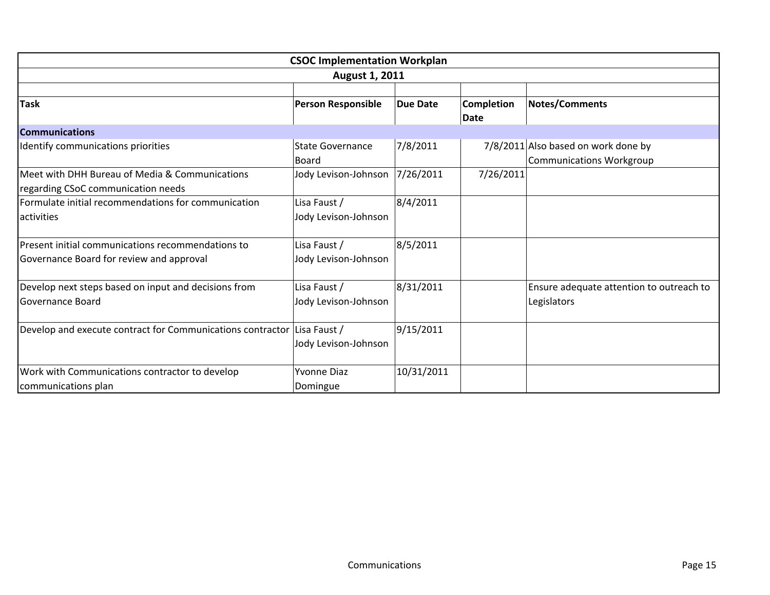| <b>CSOC Implementation Workplan</b>                                                  |                                      |                 |                                  |                                                                 |
|--------------------------------------------------------------------------------------|--------------------------------------|-----------------|----------------------------------|-----------------------------------------------------------------|
| <b>August 1, 2011</b>                                                                |                                      |                 |                                  |                                                                 |
|                                                                                      |                                      |                 |                                  |                                                                 |
| <b>Task</b>                                                                          | <b>Person Responsible</b>            | <b>Due Date</b> | <b>Completion</b><br><b>Date</b> | Notes/Comments                                                  |
| <b>Communications</b>                                                                |                                      |                 |                                  |                                                                 |
| Identify communications priorities                                                   | <b>State Governance</b><br>Board     | 7/8/2011        |                                  | 7/8/2011 Also based on work done by<br>Communications Workgroup |
| Meet with DHH Bureau of Media & Communications<br>regarding CSoC communication needs | Jody Levison-Johnson                 | 7/26/2011       | 7/26/2011                        |                                                                 |
| Formulate initial recommendations for communication                                  | Lisa Faust /                         | 8/4/2011        |                                  |                                                                 |
| activities                                                                           | Jody Levison-Johnson                 |                 |                                  |                                                                 |
| Present initial communications recommendations to                                    | Lisa Faust /                         | 8/5/2011        |                                  |                                                                 |
| Governance Board for review and approval                                             | Jody Levison-Johnson                 |                 |                                  |                                                                 |
| Develop next steps based on input and decisions from                                 | Lisa Faust /                         | 8/31/2011       |                                  | Ensure adequate attention to outreach to                        |
| Governance Board                                                                     | Jody Levison-Johnson                 |                 |                                  | Legislators                                                     |
| Develop and execute contract for Communications contractor                           | Lisa Faust /<br>Jody Levison-Johnson | 9/15/2011       |                                  |                                                                 |
| Work with Communications contractor to develop                                       | <b>Yvonne Diaz</b>                   | 10/31/2011      |                                  |                                                                 |
| communications plan                                                                  | Domingue                             |                 |                                  |                                                                 |